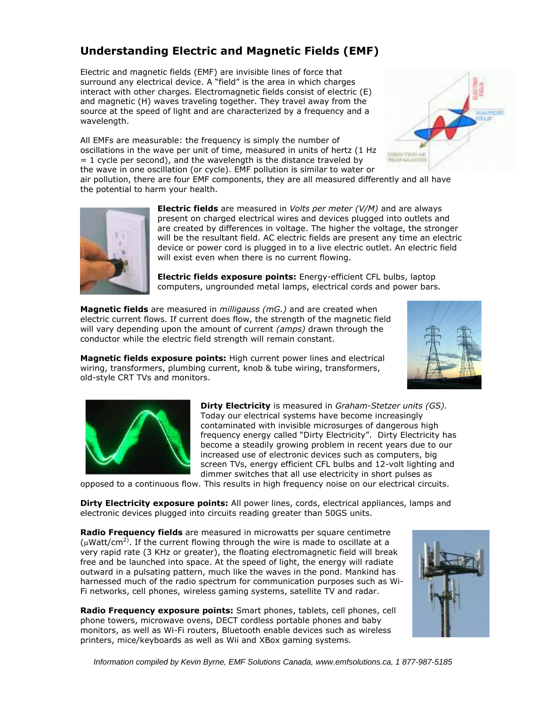## **Understanding Electric and Magnetic Fields (EMF)**

Electric and magnetic fields (EMF) are invisible lines of force that surround any electrical device. A "field" is the area in which charges interact with other charges. Electromagnetic fields consist of electric (E) and magnetic (H) waves traveling together. They travel away from the source at the speed of light and are characterized by a frequency and a wavelength.

All EMFs are measurable: the frequency is simply the number of oscillations in the wave per unit of time, measured in units of hertz (1 Hz  $= 1$  cycle per second), and the wavelength is the distance traveled by the wave in one oscillation (or cycle). EMF pollution is similar to water or



air pollution, there are four EMF components, they are all measured differently and all have the potential to harm your health.



**Electric fields** are measured in *Volts per meter (V/M)* and are always present on charged electrical wires and devices plugged into outlets and are created by differences in voltage. The higher the voltage, the stronger will be the resultant field. AC electric fields are present any time an electric device or power cord is plugged in to a live electric outlet. An electric field will exist even when there is no current flowing.

**Electric fields exposure points:** Energy-efficient CFL bulbs, laptop computers, ungrounded metal lamps, electrical cords and power bars.

**Magnetic fields** are measured in *milligauss (mG.)* and are created when electric current flows. If current does flow, the strength of the magnetic field will vary depending upon the amount of current *(amps)* drawn through the conductor while the electric field strength will remain constant.



**Magnetic fields exposure points:** High current power lines and electrical wiring, transformers, plumbing current, knob & tube wiring, transformers, old-style CRT TVs and monitors.



**Dirty Electricity** is measured in *Graham-Stetzer units (GS).* Today our electrical systems have become increasingly contaminated with invisible microsurges of dangerous high frequency energy called "Dirty Electricity". Dirty Electricity has become a steadily growing problem in recent years due to our increased use of electronic devices such as computers, big screen TVs, energy efficient CFL bulbs and 12-volt lighting and dimmer switches that all use electricity in short pulses as

opposed to a continuous flow. This results in high frequency noise on our electrical circuits.

**Dirty Electricity exposure points:** All power lines, cords, electrical appliances, lamps and electronic devices plugged into circuits reading greater than 50GS units.

**Radio Frequency fields** are measured in microwatts per square centimetre ( $\mu$ Watt/cm<sup>2)</sup>. If the current flowing through the wire is made to oscillate at a very rapid rate (3 KHz or greater), the floating electromagnetic field will break free and be launched into space. At the speed of light, the energy will radiate outward in a pulsating pattern, much like the waves in the pond. Mankind has harnessed much of the radio spectrum for communication purposes such as Wi-Fi networks, cell phones, wireless gaming systems, satellite TV and radar.

**Radio Frequency exposure points:** Smart phones, tablets, cell phones, cell phone towers, microwave ovens, DECT cordless portable phones and baby monitors, as well as Wi-Fi routers, Bluetooth enable devices such as wireless printers, mice/keyboards as well as Wii and XBox gaming systems.



*Information compiled by Kevin Byrne, EMF Solutions Canada, www.emfsolutions.ca, 1 877-987-5185*